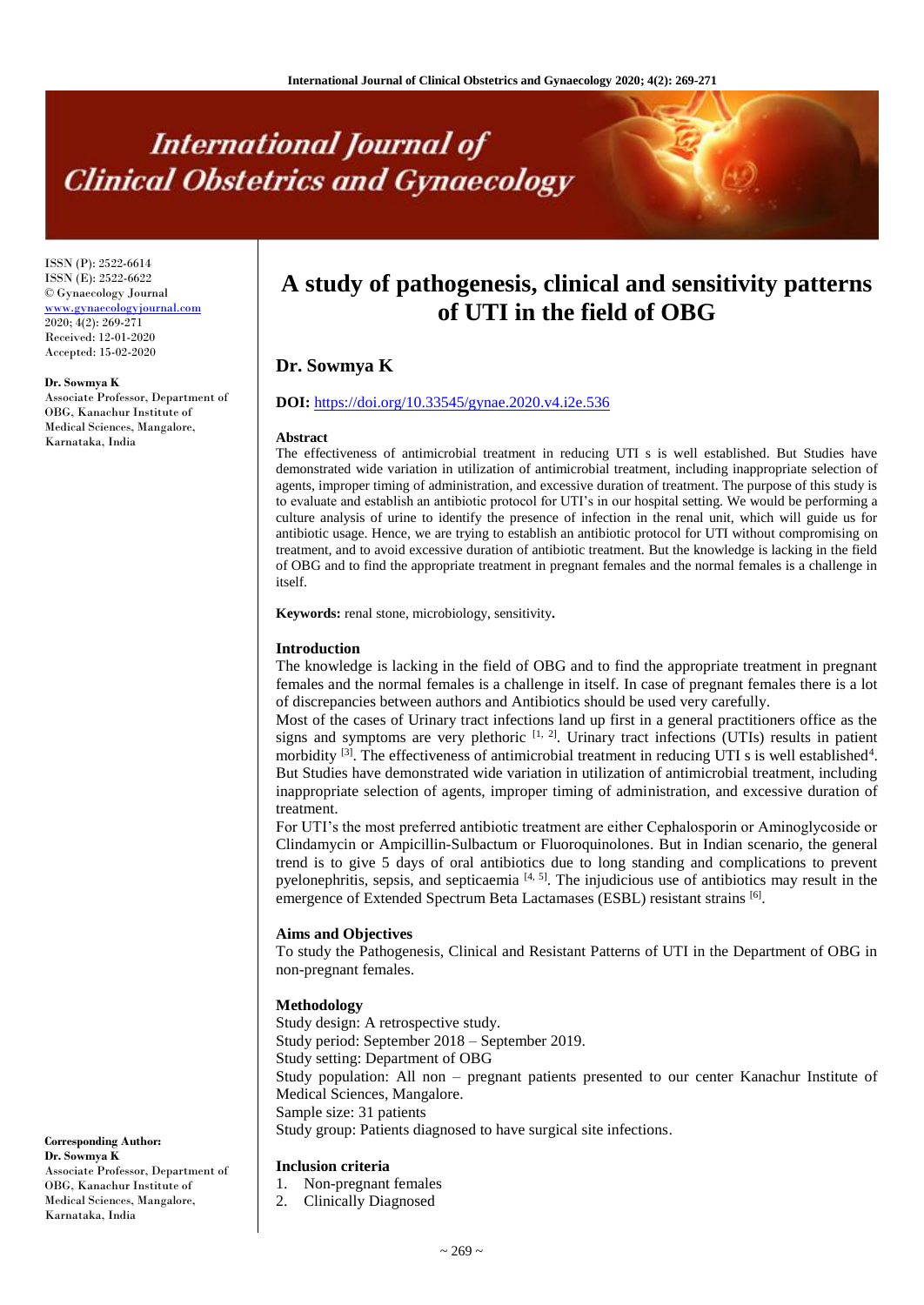# **International Journal of Clinical Obstetrics and Gynaecology**

ISSN (P): 2522-6614 ISSN (E): 2522-6622 © Gynaecology Journal <www.gynaecologyjournal.com> 2020; 4(2): 269-271 Received: 12-01-2020 Accepted: 15-02-2020

**Dr. Sowmya K** Associate Professor, Department of OBG, Kanachur Institute of Medical Sciences, Mangalore, Karnataka, India

## **A study of pathogenesis, clinical and sensitivity patterns of UTI in the field of OBG**

## **Dr. Sowmya K**

#### **DOI:** <https://doi.org/10.33545/gynae.2020.v4.i2e.536>

#### **Abstract**

The effectiveness of antimicrobial treatment in reducing UTI s is well established. But Studies have demonstrated wide variation in utilization of antimicrobial treatment, including inappropriate selection of agents, improper timing of administration, and excessive duration of treatment. The purpose of this study is to evaluate and establish an antibiotic protocol for UTI's in our hospital setting. We would be performing a culture analysis of urine to identify the presence of infection in the renal unit, which will guide us for antibiotic usage. Hence, we are trying to establish an antibiotic protocol for UTI without compromising on treatment, and to avoid excessive duration of antibiotic treatment. But the knowledge is lacking in the field of OBG and to find the appropriate treatment in pregnant females and the normal females is a challenge in itself.

**Keywords:** renal stone, microbiology, sensitivity**.**

#### **Introduction**

The knowledge is lacking in the field of OBG and to find the appropriate treatment in pregnant females and the normal females is a challenge in itself. In case of pregnant females there is a lot of discrepancies between authors and Antibiotics should be used very carefully.

Most of the cases of Urinary tract infections land up first in a general practitioners office as the signs and symptoms are very plethoric  $[1, 2]$ . Urinary tract infections (UTIs) results in patient morbidity  $^{[3]}$ . The effectiveness of antimicrobial treatment in reducing UTI s is well established<sup>4</sup>. But Studies have demonstrated wide variation in utilization of antimicrobial treatment, including inappropriate selection of agents, improper timing of administration, and excessive duration of treatment.

For UTI's the most preferred antibiotic treatment are either Cephalosporin or Aminoglycoside or Clindamycin or Ampicillin-Sulbactum or Fluoroquinolones. But in Indian scenario, the general trend is to give 5 days of oral antibiotics due to long standing and complications to prevent pyelonephritis, sepsis, and septicaemia  $[4, 5]$ . The injudicious use of antibiotics may result in the emergence of Extended Spectrum Beta Lactamases (ESBL) resistant strains [6].

#### **Aims and Objectives**

To study the Pathogenesis, Clinical and Resistant Patterns of UTI in the Department of OBG in non-pregnant females.

#### **Methodology**

Study design: A retrospective study. Study period: September 2018 – September 2019. Study setting: Department of OBG Study population: All non – pregnant patients presented to our center Kanachur Institute of Medical Sciences, Mangalore. Sample size: 31 patients Study group: Patients diagnosed to have surgical site infections.

#### **Inclusion criteria**

- 1. Non-pregnant females
- 2. Clinically Diagnosed

**Corresponding Author: Dr. Sowmya K** Associate Professor, Department of OBG, Kanachur Institute of Medical Sciences, Mangalore, Karnataka, India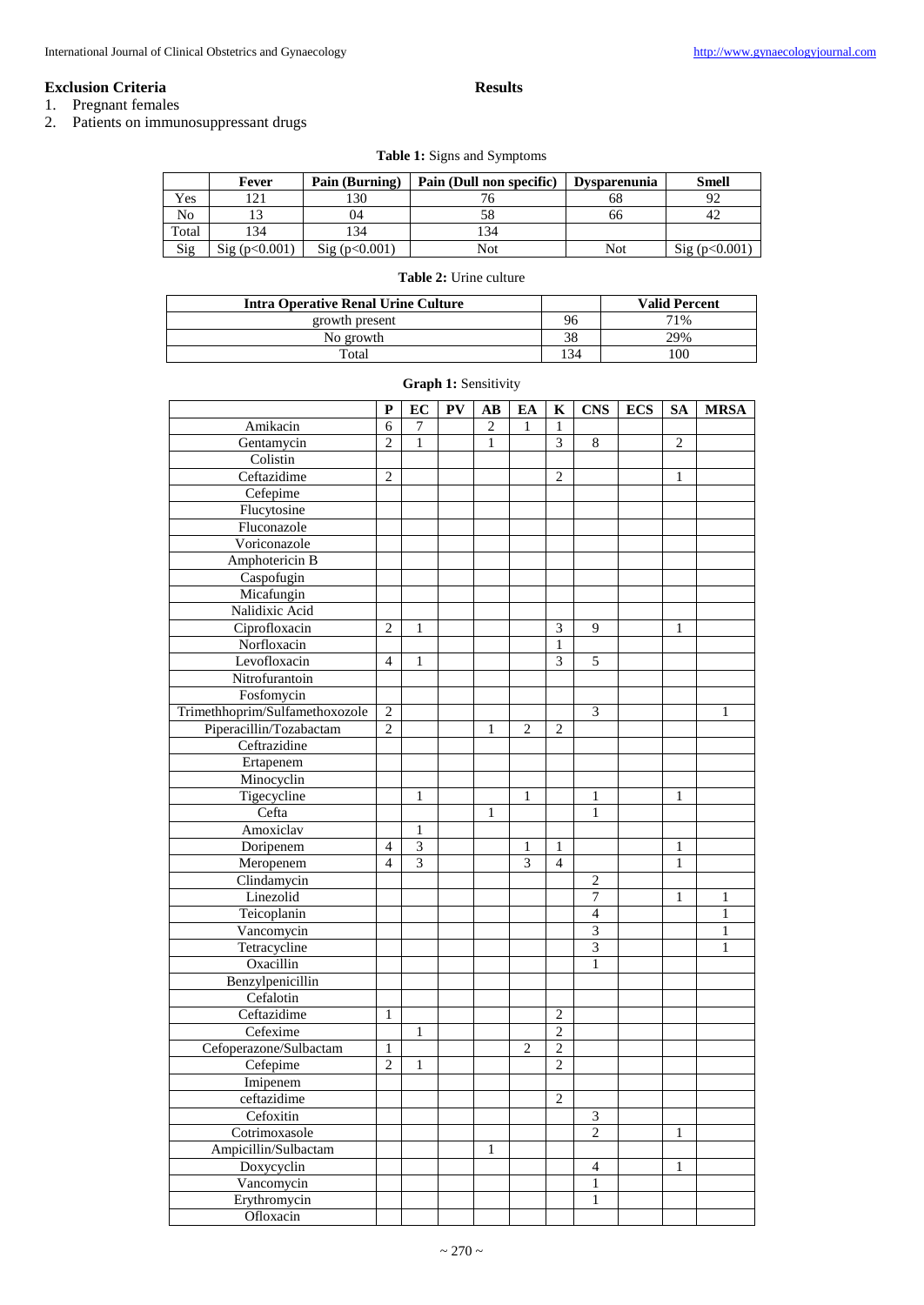#### **Results**

**Exclusion Criteria** 1. Pregnant females

2. Patients on immunosuppressant drugs

### **Table 1:** Signs and Symptoms

|       | Fever        | Pain (Burning) | Pain (Dull non specific) | <b>Dysparenunia</b> | Smell        |
|-------|--------------|----------------|--------------------------|---------------------|--------------|
| Yes   | $\gamma$ 1   | l 30           |                          | oč                  | 92           |
| No    |              | 04             | 58                       | 00                  | 42           |
| Total | 34           | 134            | 134                      |                     |              |
| Sig   | Sig(p<0.001) | Sig(p<0.001)   | Not                      | Not                 | Sig(p<0.001) |

#### **Table 2:** Urine culture

| <b>Intra Operative Renal Urine Culture</b> |      | <b>Valid Percent</b> |  |  |
|--------------------------------------------|------|----------------------|--|--|
| growth present                             | 96   | 71%                  |  |  |
| No growth                                  |      | 29%                  |  |  |
| Total                                      | . 34 | 00'                  |  |  |

|                                | $\mathbf P$    | EC                      | PV | $\mathbf{A}\mathbf{B}$ | EA             | K              | <b>CNS</b>     | <b>ECS</b> | <b>SA</b>      | <b>MRSA</b> |
|--------------------------------|----------------|-------------------------|----|------------------------|----------------|----------------|----------------|------------|----------------|-------------|
| Amikacin                       | 6              | 7                       |    | 2                      | 1              | 1              |                |            |                |             |
| Gentamycin                     |                | $\mathbf{1}$            |    | 1                      |                | 3              | $\overline{8}$ |            | $\overline{2}$ |             |
| Colistin                       |                |                         |    |                        |                |                |                |            |                |             |
| Ceftazidime                    | $\overline{2}$ |                         |    |                        |                | 2              |                |            | 1              |             |
| Cefepime                       |                |                         |    |                        |                |                |                |            |                |             |
| Flucytosine                    |                |                         |    |                        |                |                |                |            |                |             |
| Fluconazole                    |                |                         |    |                        |                |                |                |            |                |             |
| Voriconazole                   |                |                         |    |                        |                |                |                |            |                |             |
| Amphotericin B                 |                |                         |    |                        |                |                |                |            |                |             |
| Caspofugin                     |                |                         |    |                        |                |                |                |            |                |             |
| Micafungin                     |                |                         |    |                        |                |                |                |            |                |             |
| Nalidixic Acid                 |                |                         |    |                        |                |                |                |            |                |             |
| Ciprofloxacin                  | $\overline{2}$ | 1                       |    |                        |                | $\overline{3}$ | 9              |            | 1              |             |
| Norfloxacin                    |                |                         |    |                        |                | 1              |                |            |                |             |
| Levofloxacin                   | $\overline{4}$ | 1                       |    |                        |                | 3              | 5              |            |                |             |
| Nitrofurantoin                 |                |                         |    |                        |                |                |                |            |                |             |
| Fosfomycin                     |                |                         |    |                        |                |                |                |            |                |             |
| Trimethhoprim/Sulfamethoxozole | $\overline{c}$ |                         |    |                        |                |                | 3              |            |                | 1           |
| Piperacillin/Tozabactam        | $\overline{2}$ |                         |    | 1                      | $\overline{c}$ | $\overline{2}$ |                |            |                |             |
| Ceftrazidine                   |                |                         |    |                        |                |                |                |            |                |             |
| Ertapenem                      |                |                         |    |                        |                |                |                |            |                |             |
| Minocyclin                     |                |                         |    |                        |                |                |                |            |                |             |
| Tigecycline                    |                | 1                       |    |                        | 1              |                | $\mathbf{1}$   |            | 1              |             |
| Cefta                          |                |                         |    | 1                      |                |                | 1              |            |                |             |
| Amoxiclav                      |                | 1                       |    |                        |                |                |                |            |                |             |
| Doripenem                      | $\overline{4}$ | $\overline{\mathbf{3}}$ |    |                        | 1              | 1              |                |            | 1              |             |
| Meropenem                      | $\overline{4}$ | 3                       |    |                        | 3              | $\overline{4}$ |                |            | 1              |             |
| Clindamycin                    |                |                         |    |                        |                |                | $\overline{2}$ |            |                |             |
| Linezolid                      |                |                         |    |                        |                |                | 7              |            | 1              | 1           |
| Teicoplanin                    |                |                         |    |                        |                |                | $\overline{4}$ |            |                | 1           |
| Vancomycin                     |                |                         |    |                        |                |                | $\mathfrak{Z}$ |            |                | 1           |
| Tetracycline                   |                |                         |    |                        |                |                | $\overline{3}$ |            |                | 1           |
| Oxacillin                      |                |                         |    |                        |                |                | $\mathbf{1}$   |            |                |             |
| Benzylpenicillin               |                |                         |    |                        |                |                |                |            |                |             |
| Cefalotin                      |                |                         |    |                        |                |                |                |            |                |             |
| Ceftazidime                    | 1              |                         |    |                        |                | $\mathbf{2}$   |                |            |                |             |
| Cefexime                       |                | 1                       |    |                        |                | $\overline{2}$ |                |            |                |             |
| Cefoperazone/Sulbactam         | 1              |                         |    |                        | 2              | $\overline{2}$ |                |            |                |             |
| Cefepime                       | $\overline{c}$ | $\mathbf{1}$            |    |                        |                | $\overline{c}$ |                |            |                |             |
| Imipenem                       |                |                         |    |                        |                |                |                |            |                |             |
| ceftazidime                    |                |                         |    |                        |                | 2              |                |            |                |             |
| Cefoxitin                      |                |                         |    |                        |                |                | $\mathfrak{Z}$ |            |                |             |
| Cotrimoxasole                  |                |                         |    |                        |                |                | $\overline{2}$ |            | 1              |             |
| Ampicillin/Sulbactam           |                |                         |    | 1                      |                |                |                |            |                |             |
| Doxycyclin                     |                |                         |    |                        |                |                | $\overline{4}$ |            | 1              |             |
| Vancomycin                     |                |                         |    |                        |                |                | 1              |            |                |             |
| Erythromycin                   |                |                         |    |                        |                |                | $\mathbf{1}$   |            |                |             |
| Ofloxacin                      |                |                         |    |                        |                |                |                |            |                |             |
|                                |                |                         |    |                        |                |                |                |            |                |             |

#### **Graph 1: Sensitivity**